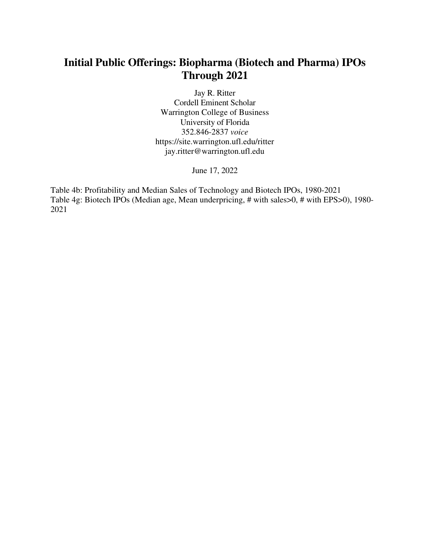## **Initial Public Offerings: Biopharma (Biotech and Pharma) IPOs Through 2021**

Jay R. Ritter Cordell Eminent Scholar Warrington College of Business University of Florida 352.846-2837 *voice* https://site.warrington.ufl.edu/ritter jay.ritter@warrington.ufl.edu

June 17, 2022

Table 4b: Profitability and Median Sales of Technology and Biotech IPOs, 1980-2021 Table 4g: Biotech IPOs (Median age, Mean underpricing, # with sales>0, # with EPS>0), 1980- 2021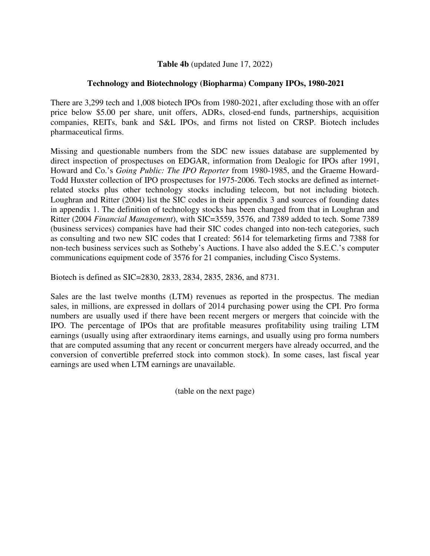## **Table 4b** (updated June 17, 2022)

## **Technology and Biotechnology (Biopharma) Company IPOs, 1980-2021**

There are 3,299 tech and 1,008 biotech IPOs from 1980-2021, after excluding those with an offer price below \$5.00 per share, unit offers, ADRs, closed-end funds, partnerships, acquisition companies, REITs, bank and S&L IPOs, and firms not listed on CRSP. Biotech includes pharmaceutical firms.

Missing and questionable numbers from the SDC new issues database are supplemented by direct inspection of prospectuses on EDGAR, information from Dealogic for IPOs after 1991, Howard and Co.'s *Going Public: The IPO Reporter* from 1980-1985, and the Graeme Howard-Todd Huxster collection of IPO prospectuses for 1975-2006. Tech stocks are defined as internetrelated stocks plus other technology stocks including telecom, but not including biotech. Loughran and Ritter (2004) list the SIC codes in their appendix 3 and sources of founding dates in appendix 1. The definition of technology stocks has been changed from that in Loughran and Ritter (2004 *Financial Management*), with SIC=3559, 3576, and 7389 added to tech. Some 7389 (business services) companies have had their SIC codes changed into non-tech categories, such as consulting and two new SIC codes that I created: 5614 for telemarketing firms and 7388 for non-tech business services such as Sotheby's Auctions. I have also added the S.E.C.'s computer communications equipment code of 3576 for 21 companies, including Cisco Systems.

Biotech is defined as SIC=2830, 2833, 2834, 2835, 2836, and 8731.

Sales are the last twelve months (LTM) revenues as reported in the prospectus. The median sales, in millions, are expressed in dollars of 2014 purchasing power using the CPI. Pro forma numbers are usually used if there have been recent mergers or mergers that coincide with the IPO. The percentage of IPOs that are profitable measures profitability using trailing LTM earnings (usually using after extraordinary items earnings, and usually using pro forma numbers that are computed assuming that any recent or concurrent mergers have already occurred, and the conversion of convertible preferred stock into common stock). In some cases, last fiscal year earnings are used when LTM earnings are unavailable.

(table on the next page)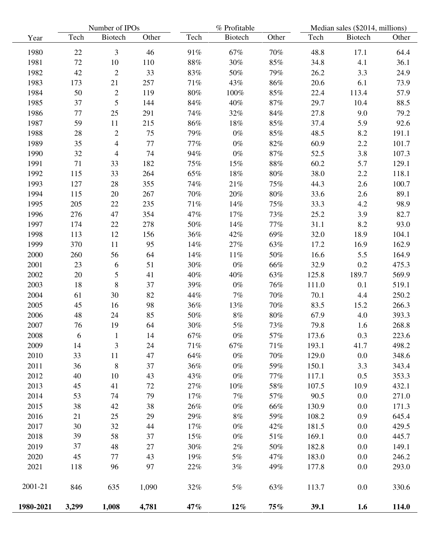|           |       | Number of IPOs           |       |        | % Profitable |        |       | Median sales (\$2014, millions) |       |  |
|-----------|-------|--------------------------|-------|--------|--------------|--------|-------|---------------------------------|-------|--|
| Year      | Tech  | Biotech                  | Other | Tech   | Biotech      | Other  | Tech  | Biotech                         | Other |  |
| 1980      | 22    | 3                        | 46    | 91%    | 67%          | 70%    | 48.8  | 17.1                            | 64.4  |  |
| 1981      | 72    | 10                       | 110   | $88\%$ | 30%          | $85\%$ | 34.8  | 4.1                             | 36.1  |  |
| 1982      | 42    | $\sqrt{2}$               | 33    | $83\%$ | 50%          | 79%    | 26.2  | 3.3                             | 24.9  |  |
| 1983      | 173   | 21                       | 257   | 71%    | 43%          | 86%    | 20.6  | 6.1                             | 73.9  |  |
| 1984      | 50    | $\overline{c}$           | 119   | 80%    | 100%         | 85%    | 22.4  | 113.4                           | 57.9  |  |
| 1985      | 37    | 5                        | 144   | 84%    | 40%          | 87%    | 29.7  | 10.4                            | 88.5  |  |
| 1986      | 77    | 25                       | 291   | 74%    | 32%          | $84\%$ | 27.8  | 9.0                             | 79.2  |  |
| 1987      | 59    | 11                       | 215   | 86%    | 18%          | 85%    | 37.4  | 5.9                             | 92.6  |  |
| 1988      | 28    | $\overline{c}$           | 75    | 79%    | $0\%$        | $85\%$ | 48.5  | 8.2                             | 191.1 |  |
| 1989      | 35    | $\overline{\mathcal{A}}$ | 77    | 77%    | $0\%$        | $82\%$ | 60.9  | 2.2                             | 101.7 |  |
| 1990      | 32    | 4                        | 74    | 94%    | $0\%$        | 87%    | 52.5  | 3.8                             | 107.3 |  |
| 1991      | 71    | 33                       | 182   | 75%    | 15%          | $88\%$ | 60.2  | 5.7                             | 129.1 |  |
| 1992      | 115   | 33                       | 264   | 65%    | 18%          | $80\%$ | 38.0  | 2.2                             | 118.1 |  |
| 1993      | 127   | 28                       | 355   | 74%    | 21%          | 75%    | 44.3  | 2.6                             | 100.7 |  |
| 1994      | 115   | 20                       | 267   | 70%    | 20%          | $80\%$ | 33.6  | 2.6                             | 89.1  |  |
| 1995      | 205   | 22                       | 235   | 71%    | 14%          | 75%    | 33.3  | 4.2                             | 98.9  |  |
| 1996      | 276   | 47                       | 354   | 47%    | 17%          | 73%    | 25.2  | 3.9                             | 82.7  |  |
| 1997      | 174   | 22                       | 278   | $50\%$ | 14%          | $77\%$ | 31.1  | 8.2                             | 93.0  |  |
| 1998      | 113   | 12                       | 156   | 36%    | 42%          | 69%    | 32.0  | 18.9                            | 104.1 |  |
| 1999      | 370   | 11                       | 95    | 14%    | 27%          | 63%    | 17.2  | 16.9                            | 162.9 |  |
| 2000      | 260   | 56                       | 64    | 14%    | $11\%$       | 50%    | 16.6  | 5.5                             | 164.9 |  |
| 2001      | 23    | 6                        | 51    | 30%    | $0\%$        | 66%    | 32.9  | 0.2                             | 475.3 |  |
| 2002      | 20    | 5                        | 41    | 40%    | 40%          | 63%    | 125.8 | 189.7                           | 569.9 |  |
| 2003      | 18    | 8                        | 37    | 39%    | $0\%$        | 76%    | 111.0 | 0.1                             | 519.1 |  |
| 2004      | 61    | 30                       | 82    | 44%    | $7\%$        | $70\%$ | 70.1  | 4.4                             | 250.2 |  |
| 2005      | 45    | 16                       | 98    | $36\%$ | 13%          | 70%    | 83.5  | 15.2                            | 266.3 |  |
| 2006      | 48    | 24                       | 85    | 50%    | $8\%$        | $80\%$ | 67.9  | 4.0                             | 393.3 |  |
| 2007      | 76    | 19                       | 64    | 30%    | $5\%$        | 73%    | 79.8  | 1.6                             | 268.8 |  |
| 2008      | 6     |                          | 14    | $67\%$ | $0\%$        | 57%    | 173.6 | 0.3                             | 223.6 |  |
| 2009      | 14    | 3                        | 24    | 71%    | 67%          | 71%    | 193.1 | 41.7                            | 498.2 |  |
| 2010      | 33    | 11                       | 47    | 64%    | $0\%$        | $70\%$ | 129.0 | 0.0                             | 348.6 |  |
| 2011      | 36    | $\,8\,$                  | 37    | 36%    | $0\%$        | 59%    | 150.1 | 3.3                             | 343.4 |  |
| 2012      | 40    | 10                       | 43    | 43%    | $0\%$        | 77%    | 117.1 | 0.5                             | 353.3 |  |
| 2013      | 45    | 41                       | 72    | $27\%$ | $10\%$       | $58\%$ | 107.5 | 10.9                            | 432.1 |  |
| 2014      | 53    | 74                       | 79    | 17%    | $7\%$        | 57%    | 90.5  | 0.0                             | 271.0 |  |
| 2015      | 38    | 42                       | 38    | 26%    | $0\%$        | 66%    | 130.9 | 0.0                             | 171.3 |  |
| 2016      | 21    | 25                       | 29    | 29%    | 8%           | 59%    | 108.2 | 0.9                             | 645.4 |  |
| 2017      | 30    | 32                       | 44    | 17%    | $0\%$        | 42%    | 181.5 | 0.0                             | 429.5 |  |
| 2018      | 39    | 58                       | 37    | 15%    | $0\%$        | $51\%$ | 169.1 | 0.0                             | 445.7 |  |
| 2019      | 37    | 48                       | 27    | 30%    | $2\%$        | 50%    | 182.8 | 0.0                             | 149.1 |  |
| 2020      | 45    | 77                       | 43    | 19%    | $5\%$        | 47%    | 183.0 | $0.0\,$                         | 246.2 |  |
| 2021      | 118   | 96                       | 97    | 22%    | 3%           | 49%    | 177.8 | 0.0                             | 293.0 |  |
| 2001-21   | 846   | 635                      | 1,090 | 32%    | 5%           | 63%    | 113.7 | 0.0                             | 330.6 |  |
| 1980-2021 | 3,299 | 1,008                    | 4,781 | 47%    | $12\%$       | $75\%$ | 39.1  | 1.6                             | 114.0 |  |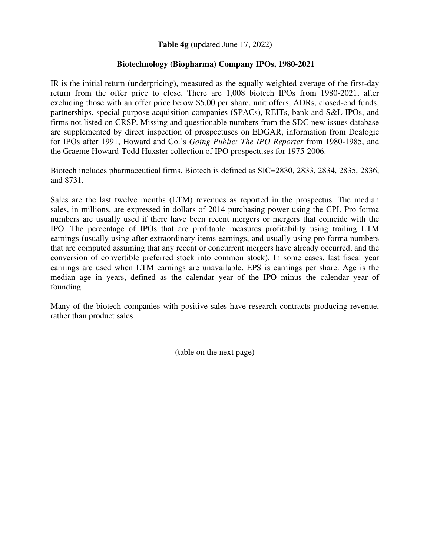**Table 4g** (updated June 17, 2022)

## **Biotechnology (Biopharma) Company IPOs, 1980-2021**

IR is the initial return (underpricing), measured as the equally weighted average of the first-day return from the offer price to close. There are 1,008 biotech IPOs from 1980-2021, after excluding those with an offer price below \$5.00 per share, unit offers, ADRs, closed-end funds, partnerships, special purpose acquisition companies (SPACs), REITs, bank and S&L IPOs, and firms not listed on CRSP. Missing and questionable numbers from the SDC new issues database are supplemented by direct inspection of prospectuses on EDGAR, information from Dealogic for IPOs after 1991, Howard and Co.'s *Going Public: The IPO Reporter* from 1980-1985, and the Graeme Howard-Todd Huxster collection of IPO prospectuses for 1975-2006.

Biotech includes pharmaceutical firms. Biotech is defined as SIC=2830, 2833, 2834, 2835, 2836, and 8731.

Sales are the last twelve months (LTM) revenues as reported in the prospectus. The median sales, in millions, are expressed in dollars of 2014 purchasing power using the CPI. Pro forma numbers are usually used if there have been recent mergers or mergers that coincide with the IPO. The percentage of IPOs that are profitable measures profitability using trailing LTM earnings (usually using after extraordinary items earnings, and usually using pro forma numbers that are computed assuming that any recent or concurrent mergers have already occurred, and the conversion of convertible preferred stock into common stock). In some cases, last fiscal year earnings are used when LTM earnings are unavailable. EPS is earnings per share. Age is the median age in years, defined as the calendar year of the IPO minus the calendar year of founding.

Many of the biotech companies with positive sales have research contracts producing revenue, rather than product sales.

(table on the next page)